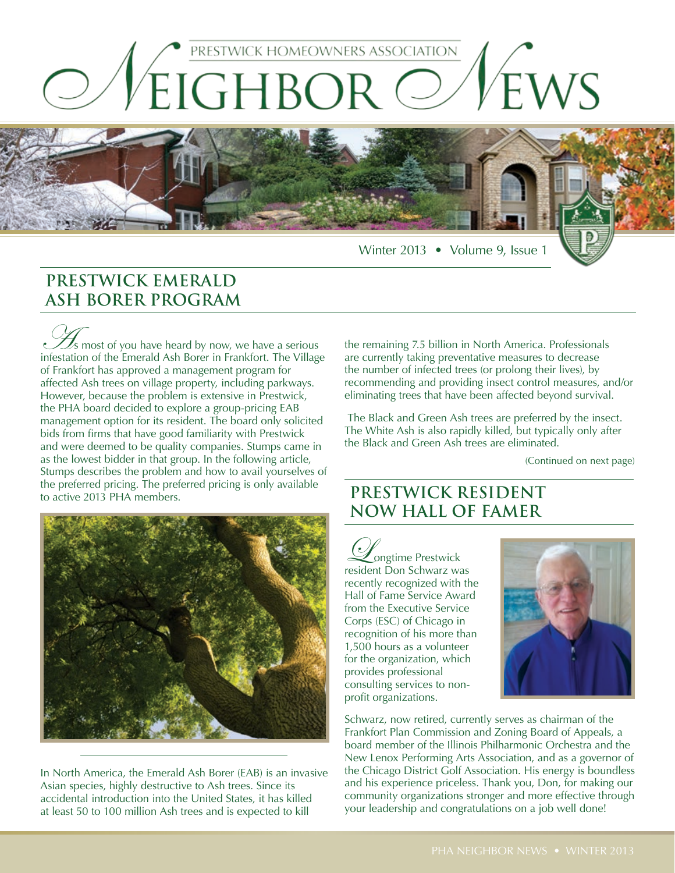

Winter 2013 • Volume 9, Issue 1

# **PRESTWICK EMERALD ASH BORER PROGRAM**

 $\mathcal{Z}_s$  most of you have heard by now, we have a serious infestation of the Emerald Ash Borer in Frankfort. The Village of Frankfort has approved a management program for affected Ash trees on village property, including parkways. However, because the problem is extensive in Prestwick, the PHA board decided to explore a group-pricing EAB management option for its resident. The board only solicited bids from firms that have good familiarity with Prestwick and were deemed to be quality companies. Stumps came in as the lowest bidder in that group. In the following article, Stumps describes the problem and how to avail yourselves of the preferred pricing. The preferred pricing is only available to active 2013 PHA members.



In North America, the Emerald Ash Borer (EAB) is an invasive Asian species, highly destructive to Ash trees. Since its accidental introduction into the United States, it has killed at least 50 to 100 million Ash trees and is expected to kill

the remaining 7.5 billion in North America. Professionals are currently taking preventative measures to decrease the number of infected trees (or prolong their lives), by recommending and providing insect control measures, and/or eliminating trees that have been affected beyond survival.

 The Black and Green Ash trees are preferred by the insect. The White Ash is also rapidly killed, but typically only after the Black and Green Ash trees are eliminated.

(Continued on next page)

### **PRESTWICK RESIDENT NOW HALL OF FAMER**

**Congtime Prestwick** resident Don Schwarz was recently recognized with the Hall of Fame Service Award from the Executive Service Corps (ESC) of Chicago in recognition of his more than 1,500 hours as a volunteer for the organization, which provides professional consulting services to nonprofit organizations.



Schwarz, now retired, currently serves as chairman of the Frankfort Plan Commission and Zoning Board of Appeals, a board member of the Illinois Philharmonic Orchestra and the New Lenox Performing Arts Association, and as a governor of the Chicago District Golf Association. His energy is boundless and his experience priceless. Thank you, Don, for making our community organizations stronger and more effective through your leadership and congratulations on a job well done!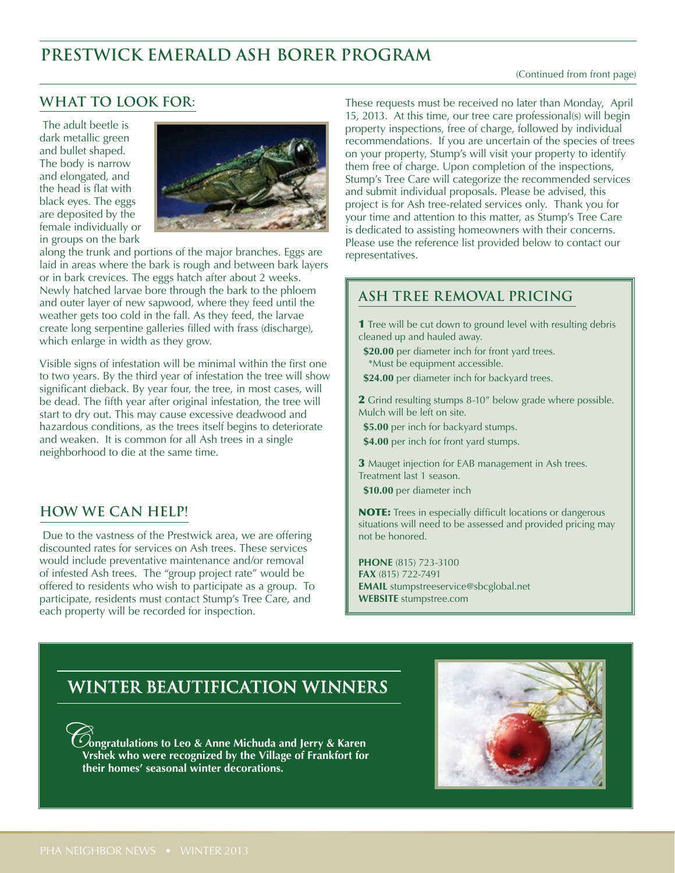# **PRESTWICK EMERALD ASH BORER PROGRAM**

#### (Continued from front page)

### **What to look for:**

 The adult beetle is dark metallic green and bullet shaped. The body is narrow and elongated, and the head is flat with black eyes. The eggs are deposited by the female individually or in groups on the bark



along the trunk and portions of the major branches. Eggs are laid in areas where the bark is rough and between bark layers or in bark crevices. The eggs hatch after about 2 weeks. Newly hatched larvae bore through the bark to the phloem and outer layer of new sapwood, where they feed until the weather gets too cold in the fall. As they feed, the larvae create long serpentine galleries filled with frass (discharge), which enlarge in width as they grow.

Visible signs of infestation will be minimal within the first one to two years. By the third year of infestation the tree will show significant dieback. By year four, the tree, in most cases, will be dead. The fifth year after original infestation, the tree will start to dry out. This may cause excessive deadwood and hazardous conditions, as the trees itself begins to deteriorate and weaken. It is common for all Ash trees in a single neighborhood to die at the same time.

### **How we can help!**

 Due to the vastness of the Prestwick area, we are offering discounted rates for services on Ash trees. These services would include preventative maintenance and/or removal of infested Ash trees. The "group project rate" would be offered to residents who wish to participate as a group. To participate, residents must contact Stump's Tree Care, and each property will be recorded for inspection.

These requests must be received no later than Monday, April 15, 2013. At this time, our tree care professional(s) will begin property inspections, free of charge, followed by individual recommendations. If you are uncertain of the species of trees on your property, Stump's will visit your property to identify them free of charge. Upon completion of the inspections, Stump's Tree Care will categorize the recommended services and submit individual proposals. Please be advised, this project is for Ash tree-related services only. Thank you for your time and attention to this matter, as Stump's Tree Care is dedicated to assisting homeowners with their concerns. Please use the reference list provided below to contact our representatives.

### **ASH TREE REMOVAL PRICING**

**1** Tree will be cut down to ground level with resulting debris cleaned up and hauled away.

**\$20.00** per diameter inch for front yard trees. \*Must be equipment accessible.

**\$24.00** per diameter inch for backyard trees.

2 Grind resulting stumps 8-10" below grade where possible. Mulch will be left on site.

**\$5.00** per inch for backyard stumps.

**\$4.00** per inch for front yard stumps.

3 Mauget injection for EAB management in Ash trees. Treatment last 1 season.

**\$10.00** per diameter inch

NOTE: Trees in especially difficult locations or dangerous situations will need to be assessed and provided pricing may not be honored.

**PHONE** (815) 723-3100 **FAX** (815) 722-7491 **EMAIL** stumpstreeservice@sbcglobal.net **WEBSITE** stumpstree.com

## **WINTER BEAUTIFICATION WINNERS**

C**ongratulations to Leo & Anne Michuda and Jerry & Karen Vrshek who were recognized by the Village of Frankfort for their homes' seasonal winter decorations.**

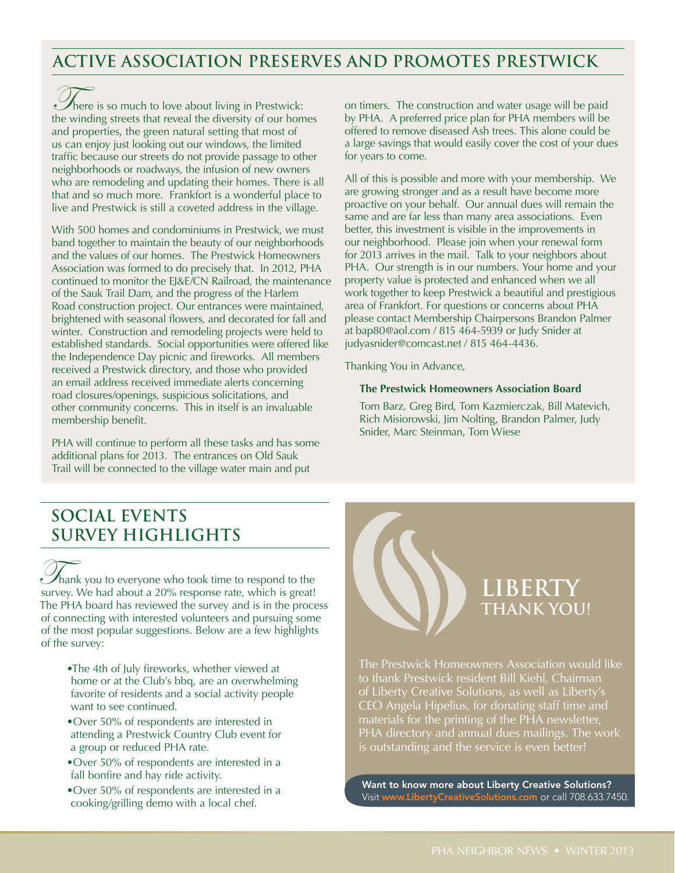### **ACTIVE ASSOCIATION PRESERVES AND PROMOTES PRESTWICK**

There is so much to love about living in Prestwick: the winding streets that reveal the diversity of our homes and properties, the green natural setting that most of us can enjoy just looking out our windows, the limited traffic because our streets do not provide passage to other neighborhoods or roadways, the infusion of new owners who are remodeling and updating their homes. There is all that and so much more. Frankfort is a wonderful place to live and Prestwick is still a coveted address in the village.

With 500 homes and condominiums in Prestwick, we must band together to maintain the beauty of our neighborhoods and the values of our homes. The Prestwick Homeowners Association was formed to do precisely that. In 2012, PHA continued to monitor the EJ&E/CN Railroad, the maintenance of the Sauk Trail Dam, and the progress of the Harlem Road construction project. Our entrances were maintained, brightened with seasonal flowers, and decorated for fall and winter. Construction and remodeling projects were held to established standards. Social opportunities were offered like the Independence Day picnic and fireworks. All members received a Prestwick directory, and those who provided an email address received immediate alerts concerning road closures/openings, suspicious solicitations, and other community concerns. This in itself is an invaluable membership benefit.

PHA will continue to perform all these tasks and has some additional plans for 2013. The entrances on Old Sauk Trail will be connected to the village water main and put

on timers. The construction and water usage will be paid by PHA. A preferred price plan for PHA members will be offered to remove diseased Ash trees. This alone could be a large savings that would easily cover the cost of your dues for years to come.

All of this is possible and more with your membership. We are growing stronger and as a result have become more proactive on your behalf. Our annual dues will remain the same and are far less than many area associations. Even better, this investment is visible in the improvements in our neighborhood. Please join when your renewal form for 2013 arrives in the mail. Talk to your neighbors about PHA. Our strength is in our numbers. Your home and your property value is protected and enhanced when we all work together to keep Prestwick a beautiful and prestigious area of Frankfort. For questions or concerns about PHA please contact Membership Chairpersons Brandon Palmer at bap80@aol.com / 815 464-5939 or Judy Snider at judyasnider@comcast.net / 815 464-4436.

Thanking You in Advance,

### **The Prestwick Homeowners Association Board**

Tom Barz, Greg Bird, Tom Kazmierczak, Bill Matevich, Rich Misiorowski, Jim Nolting, Brandon Palmer, Judy Snider, Marc Steinman, Tom Wiese

# **SOCIAL EVENTS SURVEY HIGHLIGHTS**

Thank you to everyone who took time to respond to the survey. We had about a 20% response rate, which is great! The PHA board has reviewed the survey and is in the process of connecting with interested volunteers and pursuing some of the most popular suggestions. Below are a few highlights of the survey:

- •The 4th of July fireworks, whether viewed at home or at the Club's bbq, are an overwhelming favorite of residents and a social activity people want to see continued.
- •Over 50% of respondents are interested in attending a Prestwick Country Club event for a group or reduced PHA rate.
- •Over 50% of respondents are interested in a fall bonfire and hay ride activity.
- •Over 50% of respondents are interested in a cooking/grilling demo with a local chef.



The Prestwick Homeowners Association would like to thank Prestwick resident Bill Kiehl, Chairman of Liberty Creative Solutions, as well as Liberty's CEO Angela Hipelius, for donating staff time and materials for the printing of the PHA newsletter, PHA directory and annual dues mailings. The work is outstanding and the service is even better!

Want to know more about Liberty Creative Solutions? Visit www.LibertyCreativeSolutions.com or call 708.633.7450.